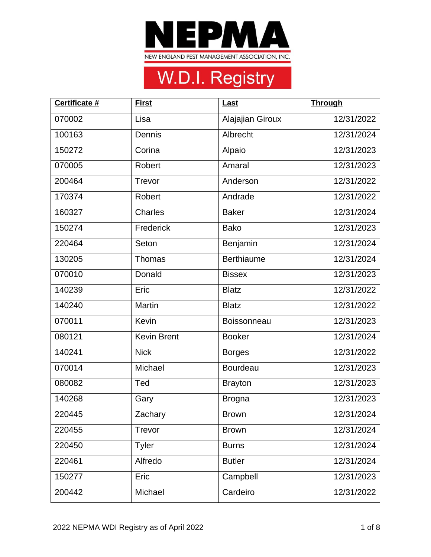

| Certificate # | <b>First</b>       | Last               | <b>Through</b> |
|---------------|--------------------|--------------------|----------------|
| 070002        | Lisa               | Alajajian Giroux   | 12/31/2022     |
| 100163        | Dennis             | Albrecht           | 12/31/2024     |
| 150272        | Corina             | Alpaio             | 12/31/2023     |
| 070005        | Robert             | Amaral             | 12/31/2023     |
| 200464        | Trevor             | Anderson           | 12/31/2022     |
| 170374        | Robert             | Andrade            | 12/31/2022     |
| 160327        | <b>Charles</b>     | <b>Baker</b>       | 12/31/2024     |
| 150274        | Frederick          | <b>Bako</b>        | 12/31/2023     |
| 220464        | Seton              | Benjamin           | 12/31/2024     |
| 130205        | Thomas             | <b>Berthiaume</b>  | 12/31/2024     |
| 070010        | Donald             | <b>Bissex</b>      | 12/31/2023     |
| 140239        | Eric               | <b>Blatz</b>       | 12/31/2022     |
| 140240        | Martin             | <b>Blatz</b>       | 12/31/2022     |
| 070011        | Kevin              | <b>Boissonneau</b> | 12/31/2023     |
| 080121        | <b>Kevin Brent</b> | <b>Booker</b>      | 12/31/2024     |
| 140241        | <b>Nick</b>        | <b>Borges</b>      | 12/31/2022     |
| 070014        | Michael            | <b>Bourdeau</b>    | 12/31/2023     |
| 080082        | Ted                | <b>Brayton</b>     | 12/31/2023     |
| 140268        | Gary               | <b>Brogna</b>      | 12/31/2023     |
| 220445        | Zachary            | <b>Brown</b>       | 12/31/2024     |
| 220455        | Trevor             | <b>Brown</b>       | 12/31/2024     |
| 220450        | Tyler              | <b>Burns</b>       | 12/31/2024     |
| 220461        | Alfredo            | <b>Butler</b>      | 12/31/2024     |
| 150277        | Eric               | Campbell           | 12/31/2023     |
| 200442        | Michael            | Cardeiro           | 12/31/2022     |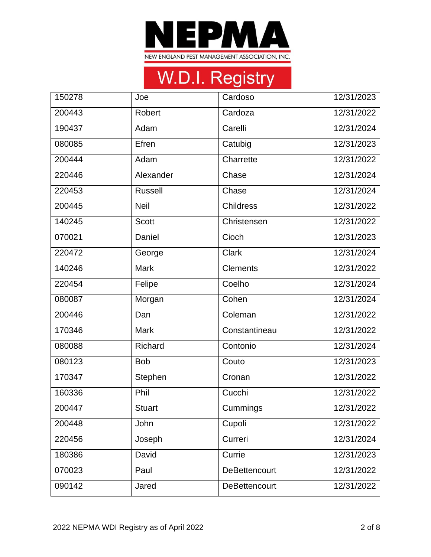

| 150278 | Joe            | Cardoso              | 12/31/2023 |
|--------|----------------|----------------------|------------|
| 200443 | Robert         | Cardoza              | 12/31/2022 |
| 190437 | Adam           | Carelli              | 12/31/2024 |
| 080085 | Efren          | Catubig              | 12/31/2023 |
| 200444 | Adam           | Charrette            | 12/31/2022 |
| 220446 | Alexander      | Chase                | 12/31/2024 |
| 220453 | <b>Russell</b> | Chase                | 12/31/2024 |
| 200445 | <b>Neil</b>    | <b>Childress</b>     | 12/31/2022 |
| 140245 | <b>Scott</b>   | Christensen          | 12/31/2022 |
| 070021 | Daniel         | Cioch                | 12/31/2023 |
| 220472 | George         | <b>Clark</b>         | 12/31/2024 |
| 140246 | <b>Mark</b>    | <b>Clements</b>      | 12/31/2022 |
| 220454 | Felipe         | Coelho               | 12/31/2024 |
| 080087 | Morgan         | Cohen                | 12/31/2024 |
| 200446 | Dan            | Coleman              | 12/31/2022 |
| 170346 | <b>Mark</b>    | Constantineau        | 12/31/2022 |
| 080088 | Richard        | Contonio             | 12/31/2024 |
| 080123 | <b>Bob</b>     | Couto                | 12/31/2023 |
| 170347 | Stephen        | Cronan               | 12/31/2022 |
| 160336 | Phil           | Cucchi               | 12/31/2022 |
| 200447 | <b>Stuart</b>  | Cummings             | 12/31/2022 |
| 200448 | John           | Cupoli               | 12/31/2022 |
| 220456 | Joseph         | Curreri              | 12/31/2024 |
| 180386 | David          | Currie               | 12/31/2023 |
| 070023 | Paul           | <b>DeBettencourt</b> | 12/31/2022 |
| 090142 | Jared          | <b>DeBettencourt</b> | 12/31/2022 |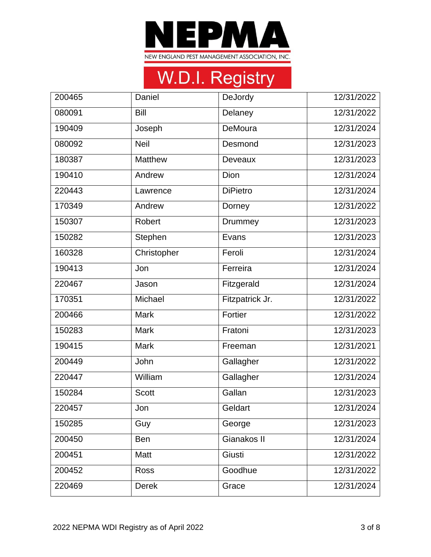

| 200465 | Daniel         | DeJordy         | 12/31/2022 |
|--------|----------------|-----------------|------------|
| 080091 | Bill           | Delaney         | 12/31/2022 |
| 190409 | Joseph         | DeMoura         | 12/31/2024 |
| 080092 | <b>Neil</b>    | Desmond         | 12/31/2023 |
| 180387 | <b>Matthew</b> | Deveaux         | 12/31/2023 |
| 190410 | Andrew         | Dion            | 12/31/2024 |
| 220443 | Lawrence       | <b>DiPietro</b> | 12/31/2024 |
| 170349 | Andrew         | Dorney          | 12/31/2022 |
| 150307 | Robert         | Drummey         | 12/31/2023 |
| 150282 | Stephen        | Evans           | 12/31/2023 |
| 160328 | Christopher    | Feroli          | 12/31/2024 |
| 190413 | Jon            | Ferreira        | 12/31/2024 |
| 220467 | Jason          | Fitzgerald      | 12/31/2024 |
| 170351 | Michael        | Fitzpatrick Jr. | 12/31/2022 |
| 200466 | <b>Mark</b>    | Fortier         | 12/31/2022 |
| 150283 | <b>Mark</b>    | Fratoni         | 12/31/2023 |
| 190415 | <b>Mark</b>    | Freeman         | 12/31/2021 |
| 200449 | John           | Gallagher       | 12/31/2022 |
| 220447 | William        | Gallagher       | 12/31/2024 |
| 150284 | <b>Scott</b>   | Gallan          | 12/31/2023 |
| 220457 | Jon            | Geldart         | 12/31/2024 |
| 150285 | Guy            | George          | 12/31/2023 |
| 200450 | <b>Ben</b>     | Gianakos II     | 12/31/2024 |
| 200451 | Matt           | Giusti          | 12/31/2022 |
| 200452 | <b>Ross</b>    | Goodhue         | 12/31/2022 |
| 220469 | <b>Derek</b>   | Grace           | 12/31/2024 |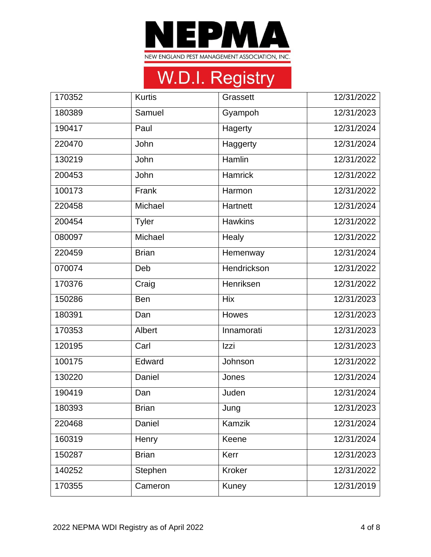

| 170352 | <b>Kurtis</b> | Grassett       | 12/31/2022 |
|--------|---------------|----------------|------------|
| 180389 | Samuel        | Gyampoh        | 12/31/2023 |
| 190417 | Paul          | Hagerty        | 12/31/2024 |
| 220470 | John          | Haggerty       | 12/31/2024 |
| 130219 | John          | Hamlin         | 12/31/2022 |
| 200453 | John          | <b>Hamrick</b> | 12/31/2022 |
| 100173 | Frank         | Harmon         | 12/31/2022 |
| 220458 | Michael       | Hartnett       | 12/31/2024 |
| 200454 | <b>Tyler</b>  | <b>Hawkins</b> | 12/31/2022 |
| 080097 | Michael       | Healy          | 12/31/2022 |
| 220459 | <b>Brian</b>  | Hemenway       | 12/31/2024 |
| 070074 | Deb           | Hendrickson    | 12/31/2022 |
| 170376 | Craig         | Henriksen      | 12/31/2022 |
| 150286 | Ben           | <b>Hix</b>     | 12/31/2023 |
| 180391 | Dan           | Howes          | 12/31/2023 |
| 170353 | Albert        | Innamorati     | 12/31/2023 |
| 120195 | Carl          | Izzi           | 12/31/2023 |
| 100175 | Edward        | Johnson        | 12/31/2022 |
| 130220 | Daniel        | Jones          | 12/31/2024 |
| 190419 | Dan           | Juden          | 12/31/2024 |
| 180393 | <b>Brian</b>  | Jung           | 12/31/2023 |
| 220468 | Daniel        | Kamzik         | 12/31/2024 |
| 160319 | Henry         | Keene          | 12/31/2024 |
| 150287 | <b>Brian</b>  | Kerr           | 12/31/2023 |
| 140252 | Stephen       | <b>Kroker</b>  | 12/31/2022 |
| 170355 | Cameron       | Kuney          | 12/31/2019 |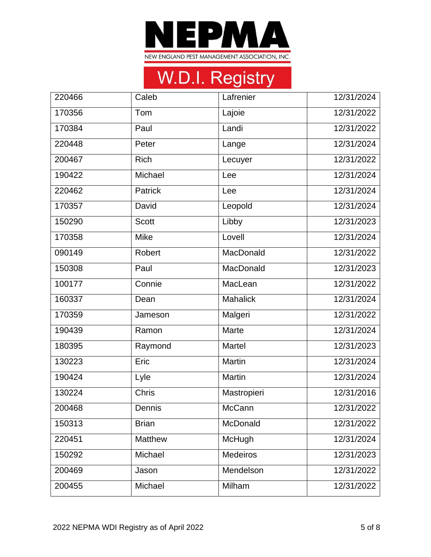

| 220466 | Caleb        | Lafrenier       | 12/31/2024 |
|--------|--------------|-----------------|------------|
| 170356 | Tom          | Lajoie          | 12/31/2022 |
| 170384 | Paul         | Landi           | 12/31/2022 |
| 220448 | Peter        | Lange           | 12/31/2024 |
| 200467 | <b>Rich</b>  | Lecuyer         | 12/31/2022 |
| 190422 | Michael      | Lee             | 12/31/2024 |
| 220462 | Patrick      | Lee             | 12/31/2024 |
| 170357 | David        | Leopold         | 12/31/2024 |
| 150290 | <b>Scott</b> | Libby           | 12/31/2023 |
| 170358 | <b>Mike</b>  | Lovell          | 12/31/2024 |
| 090149 | Robert       | MacDonald       | 12/31/2022 |
| 150308 | Paul         | MacDonald       | 12/31/2023 |
| 100177 | Connie       | MacLean         | 12/31/2022 |
| 160337 | Dean         | <b>Mahalick</b> | 12/31/2024 |
| 170359 | Jameson      | Malgeri         | 12/31/2022 |
| 190439 | Ramon        | Marte           | 12/31/2024 |
| 180395 | Raymond      | Martel          | 12/31/2023 |
| 130223 | Eric         | Martin          | 12/31/2024 |
| 190424 | Lyle         | Martin          | 12/31/2024 |
| 130224 | <b>Chris</b> | Mastropieri     | 12/31/2016 |
| 200468 | Dennis       | McCann          | 12/31/2022 |
| 150313 | <b>Brian</b> | McDonald        | 12/31/2022 |
| 220451 | Matthew      | McHugh          | 12/31/2024 |
| 150292 | Michael      | Medeiros        | 12/31/2023 |
| 200469 | Jason        | Mendelson       | 12/31/2022 |
| 200455 | Michael      | Milham          | 12/31/2022 |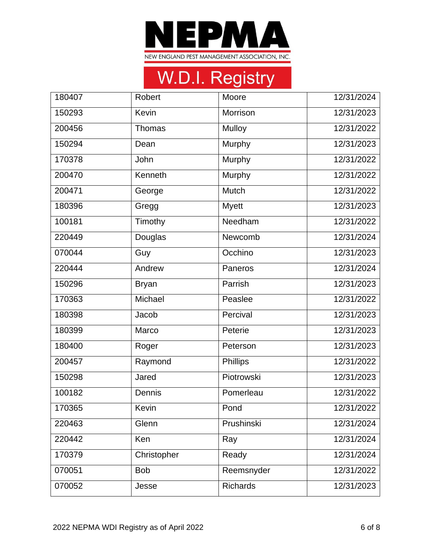

| 180407 | <b>Robert</b> | Moore           | 12/31/2024 |
|--------|---------------|-----------------|------------|
| 150293 | Kevin         | Morrison        | 12/31/2023 |
| 200456 | Thomas        | Mulloy          | 12/31/2022 |
| 150294 | Dean          | Murphy          | 12/31/2023 |
| 170378 | John          | Murphy          | 12/31/2022 |
| 200470 | Kenneth       | Murphy          | 12/31/2022 |
| 200471 | George        | Mutch           | 12/31/2022 |
| 180396 | Gregg         | <b>Myett</b>    | 12/31/2023 |
| 100181 | Timothy       | Needham         | 12/31/2022 |
| 220449 | Douglas       | Newcomb         | 12/31/2024 |
| 070044 | Guy           | Occhino         | 12/31/2023 |
| 220444 | Andrew        | Paneros         | 12/31/2024 |
| 150296 | <b>Bryan</b>  | Parrish         | 12/31/2023 |
| 170363 | Michael       | Peaslee         | 12/31/2022 |
| 180398 | Jacob         | Percival        | 12/31/2023 |
| 180399 | Marco         | Peterie         | 12/31/2023 |
| 180400 | Roger         | Peterson        | 12/31/2023 |
| 200457 | Raymond       | Phillips        | 12/31/2022 |
| 150298 | Jared         | Piotrowski      | 12/31/2023 |
| 100182 | Dennis        | Pomerleau       | 12/31/2022 |
| 170365 | Kevin         | Pond            | 12/31/2022 |
| 220463 | Glenn         | Prushinski      | 12/31/2024 |
| 220442 | Ken           | Ray             | 12/31/2024 |
| 170379 | Christopher   | Ready           | 12/31/2024 |
| 070051 | <b>Bob</b>    | Reemsnyder      | 12/31/2022 |
| 070052 | Jesse         | <b>Richards</b> | 12/31/2023 |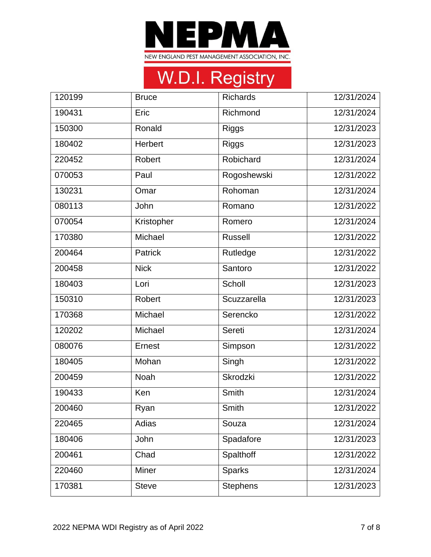

| 120199 | <b>Bruce</b>  | <b>Richards</b> | 12/31/2024 |
|--------|---------------|-----------------|------------|
| 190431 | Eric          | Richmond        | 12/31/2024 |
| 150300 | Ronald        | <b>Riggs</b>    | 12/31/2023 |
| 180402 | Herbert       | <b>Riggs</b>    | 12/31/2023 |
| 220452 | Robert        | Robichard       | 12/31/2024 |
| 070053 | Paul          | Rogoshewski     | 12/31/2022 |
| 130231 | Omar          | Rohoman         | 12/31/2024 |
| 080113 | John          | Romano          | 12/31/2022 |
| 070054 | Kristopher    | Romero          | 12/31/2024 |
| 170380 | Michael       | <b>Russell</b>  | 12/31/2022 |
| 200464 | Patrick       | Rutledge        | 12/31/2022 |
| 200458 | <b>Nick</b>   | Santoro         | 12/31/2022 |
| 180403 | Lori          | Scholl          | 12/31/2023 |
| 150310 | Robert        | Scuzzarella     | 12/31/2023 |
| 170368 | Michael       | Serencko        | 12/31/2022 |
| 120202 | Michael       | Sereti          | 12/31/2024 |
| 080076 | <b>Ernest</b> | Simpson         | 12/31/2022 |
| 180405 | Mohan         | Singh           | 12/31/2022 |
| 200459 | Noah          | Skrodzki        | 12/31/2022 |
| 190433 | Ken           | Smith           | 12/31/2024 |
| 200460 | Ryan          | Smith           | 12/31/2022 |
| 220465 | Adias         | Souza           | 12/31/2024 |
| 180406 | John          | Spadafore       | 12/31/2023 |
| 200461 | Chad          | Spalthoff       | 12/31/2022 |
| 220460 | Miner         | <b>Sparks</b>   | 12/31/2024 |
| 170381 | <b>Steve</b>  | <b>Stephens</b> | 12/31/2023 |